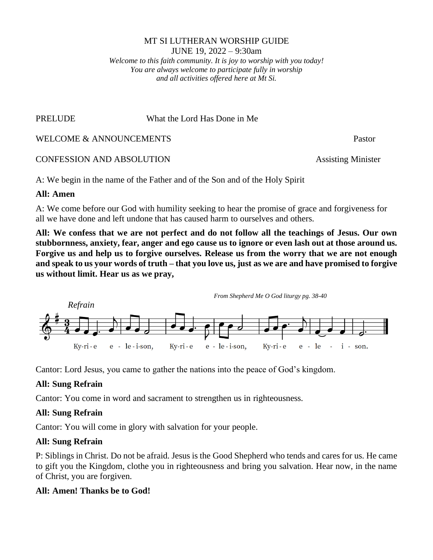### MT SI LUTHERAN WORSHIP GUIDE JUNE 19, 2022 – 9:30am *Welcome to this faith community. It is joy to worship with you today! You are always welcome to participate fully in worship and all activities offered here at Mt Si.*

PRELUDE What the Lord Has Done in Me

WELCOME & ANNOUNCEMENTS Pastor

CONFESSION AND ABSOLUTION Assisting Minister

A: We begin in the name of the Father and of the Son and of the Holy Spirit

# **All: Amen**

A: We come before our God with humility seeking to hear the promise of grace and forgiveness for all we have done and left undone that has caused harm to ourselves and others.

**All: We confess that we are not perfect and do not follow all the teachings of Jesus. Our own stubbornness, anxiety, fear, anger and ego cause us to ignore or even lash out at those around us. Forgive us and help us to forgive ourselves. Release us from the worry that we are not enough and speak to us your words of truth – that you love us, just as we are and have promised to forgive us without limit. Hear us as we pray,**



Cantor: Lord Jesus, you came to gather the nations into the peace of God's kingdom.

# **All: Sung Refrain**

Cantor: You come in word and sacrament to strengthen us in righteousness.

# **All: Sung Refrain**

Cantor: You will come in glory with salvation for your people.

# **All: Sung Refrain**

P: Siblings in Christ. Do not be afraid. Jesus is the Good Shepherd who tends and cares for us. He came to gift you the Kingdom, clothe you in righteousness and bring you salvation. Hear now, in the name of Christ, you are forgiven.

# **All: Amen! Thanks be to God!**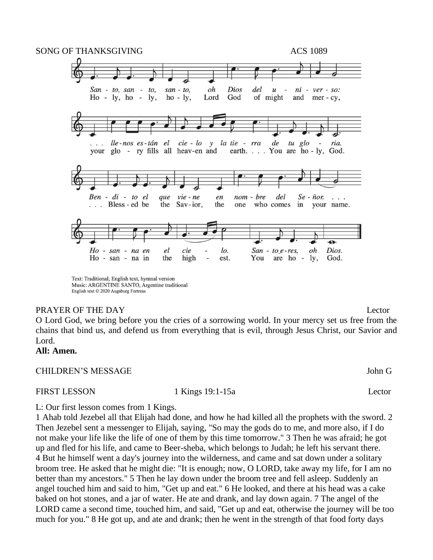

Music: ARGENTINE SANTO, Argentine traditional English text © 2020 Augsburg Fortress

## PRAYER OF THE DAY Lector

O Lord God, we bring before you the cries of a sorrowing world. In your mercy set us free from the chains that bind us, and defend us from everything that is evil, through Jesus Christ, our Savior and Lord.

# **All: Amen.**

## CHILDREN'S MESSAGE John G

FIRST LESSON 1 Kings 19:1-15a Lector

L: Our first lesson comes from 1 Kings.

1 Ahab told Jezebel all that Elijah had done, and how he had killed all the prophets with the sword. 2 Then Jezebel sent a messenger to Elijah, saying, "So may the gods do to me, and more also, if I do not make your life like the life of one of them by this time tomorrow." 3 Then he was afraid; he got up and fled for his life, and came to Beer-sheba, which belongs to Judah; he left his servant there. 4 But he himself went a day's journey into the wilderness, and came and sat down under a solitary broom tree. He asked that he might die: "It is enough; now, O LORD, take away my life, for I am no better than my ancestors." 5 Then he lay down under the broom tree and fell asleep. Suddenly an angel touched him and said to him, "Get up and eat." 6 He looked, and there at his head was a cake baked on hot stones, and a jar of water. He ate and drank, and lay down again. 7 The angel of the LORD came a second time, touched him, and said, "Get up and eat, otherwise the journey will be too much for you." 8 He got up, and ate and drank; then he went in the strength of that food forty days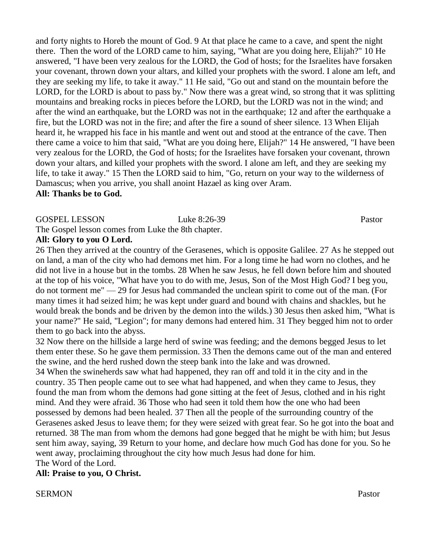and forty nights to Horeb the mount of God. 9 At that place he came to a cave, and spent the night there. Then the word of the LORD came to him, saying, "What are you doing here, Elijah?" 10 He answered, "I have been very zealous for the LORD, the God of hosts; for the Israelites have forsaken your covenant, thrown down your altars, and killed your prophets with the sword. I alone am left, and they are seeking my life, to take it away." 11 He said, "Go out and stand on the mountain before the LORD, for the LORD is about to pass by." Now there was a great wind, so strong that it was splitting mountains and breaking rocks in pieces before the LORD, but the LORD was not in the wind; and after the wind an earthquake, but the LORD was not in the earthquake; 12 and after the earthquake a fire, but the LORD was not in the fire; and after the fire a sound of sheer silence. 13 When Elijah heard it, he wrapped his face in his mantle and went out and stood at the entrance of the cave. Then there came a voice to him that said, "What are you doing here, Elijah?" 14 He answered, "I have been very zealous for the LORD, the God of hosts; for the Israelites have forsaken your covenant, thrown down your altars, and killed your prophets with the sword. I alone am left, and they are seeking my life, to take it away." 15 Then the LORD said to him, "Go, return on your way to the wilderness of Damascus; when you arrive, you shall anoint Hazael as king over Aram. **All: Thanks be to God.**

# GOSPEL LESSON Luke 8:26-39 Pastor The Gospel lesson comes from Luke the 8th chapter.

**All: Glory to you O Lord.**

26 Then they arrived at the country of the Gerasenes, which is opposite Galilee. 27 As he stepped out on land, a man of the city who had demons met him. For a long time he had worn no clothes, and he did not live in a house but in the tombs. 28 When he saw Jesus, he fell down before him and shouted at the top of his voice, "What have you to do with me, Jesus, Son of the Most High God? I beg you, do not torment me" — 29 for Jesus had commanded the unclean spirit to come out of the man. (For many times it had seized him; he was kept under guard and bound with chains and shackles, but he would break the bonds and be driven by the demon into the wilds.) 30 Jesus then asked him, "What is your name?" He said, "Legion"; for many demons had entered him. 31 They begged him not to order them to go back into the abyss.

32 Now there on the hillside a large herd of swine was feeding; and the demons begged Jesus to let them enter these. So he gave them permission. 33 Then the demons came out of the man and entered the swine, and the herd rushed down the steep bank into the lake and was drowned.

34 When the swineherds saw what had happened, they ran off and told it in the city and in the country. 35 Then people came out to see what had happened, and when they came to Jesus, they found the man from whom the demons had gone sitting at the feet of Jesus, clothed and in his right mind. And they were afraid. 36 Those who had seen it told them how the one who had been possessed by demons had been healed. 37 Then all the people of the surrounding country of the Gerasenes asked Jesus to leave them; for they were seized with great fear. So he got into the boat and returned. 38 The man from whom the demons had gone begged that he might be with him; but Jesus sent him away, saying, 39 Return to your home, and declare how much God has done for you. So he went away, proclaiming throughout the city how much Jesus had done for him. The Word of the Lord.

**All: Praise to you, O Christ.** 

SERMON Pastor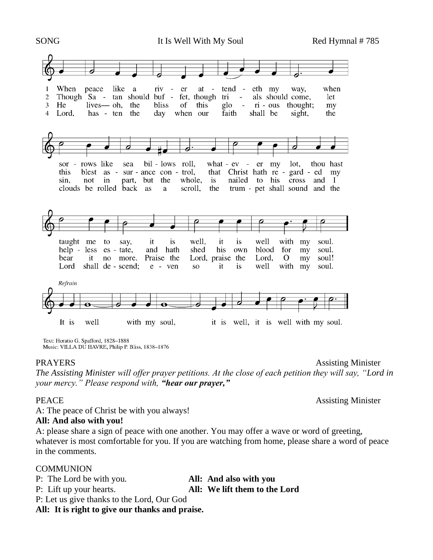

Text: Horatio G. Spafford, 1828-1888 Music: VILLA DU HAVRE, Philip P. Bliss, 1838-1876

PRAYERS Assisting Minister

*The Assisting Minister will offer prayer petitions. At the close of each petition they will say, "Lord in your mercy." Please respond with, "hear our prayer,"* 

PEACE Assisting Minister

A: The peace of Christ be with you always!

## **All: And also with you!**

A: please share a sign of peace with one another. You may offer a wave or word of greeting, whatever is most comfortable for you. If you are watching from home, please share a word of peace in the comments.

## COMMUNION

P: The Lord be with you. **All: And also with you**

P: Lift up your hearts. **All: We lift them to the Lord**

P: Let us give thanks to the Lord, Our God

**All: It is right to give our thanks and praise.**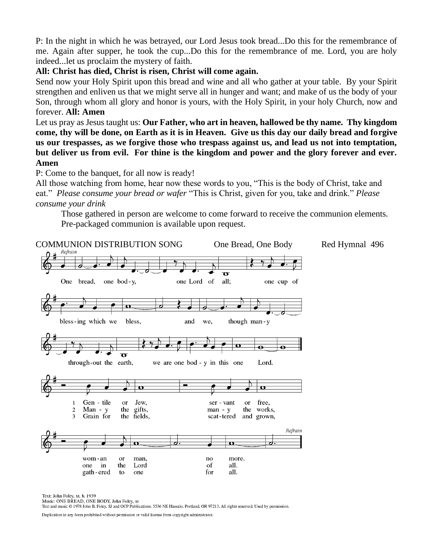P: In the night in which he was betrayed, our Lord Jesus took bread...Do this for the remembrance of me. Again after supper, he took the cup...Do this for the remembrance of me. Lord, you are holy indeed...let us proclaim the mystery of faith.

## **All: Christ has died, Christ is risen, Christ will come again.**

Send now your Holy Spirit upon this bread and wine and all who gather at your table. By your Spirit strengthen and enliven us that we might serve all in hunger and want; and make of us the body of your Son, through whom all glory and honor is yours, with the Holy Spirit, in your holy Church, now and forever. **All: Amen**

Let us pray as Jesus taught us: **Our Father, who art in heaven, hallowed be thy name. Thy kingdom come, thy will be done, on Earth as it is in Heaven. Give us this day our daily bread and forgive us our trespasses, as we forgive those who trespass against us, and lead us not into temptation, but deliver us from evil. For thine is the kingdom and power and the glory forever and ever. Amen**

P: Come to the banquet, for all now is ready!

All those watching from home, hear now these words to you, "This is the body of Christ, take and eat." *Please consume your bread or wafer* "This is Christ, given for you, take and drink." *Please consume your drink*

Those gathered in person are welcome to come forward to receive the communion elements. Pre-packaged communion is available upon request.



Text: John Folev, st, b. 1939

Music: ONE BREAD, ONE BODY, John Foley, sr

Text and music © 1978 John B. Foley, SJ and OCP Publications, 5536 NE Hassalo, Portland, OR 97213. All rights reserved. Used by permission.

Duplication in any form prohibited without permission or valid license from copyright administrator.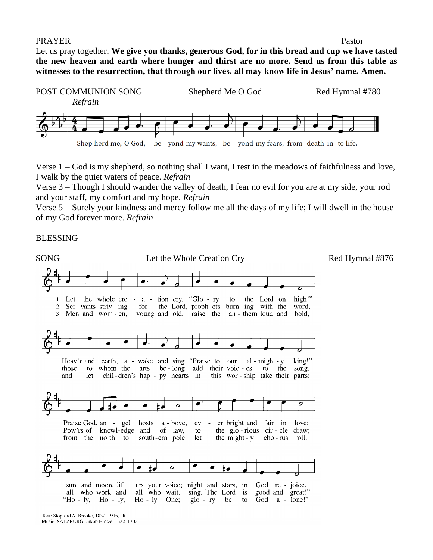### PRAYER Pastor

Let us pray together, **We give you thanks, generous God, for in this bread and cup we have tasted the new heaven and earth where hunger and thirst are no more. Send us from this table as witnesses to the resurrection, that through our lives, all may know life in Jesus' name. Amen.**



Verse 1 – God is my shepherd, so nothing shall I want, I rest in the meadows of faithfulness and love, I walk by the quiet waters of peace. *Refrain*

Verse 3 – Though I should wander the valley of death, I fear no evil for you are at my side, your rod and your staff, my comfort and my hope. *Refrain*

Verse 5 – Surely your kindness and mercy follow me all the days of my life; I will dwell in the house of my God forever more. *Refrain*

### BLESSING



Text: Stopford A. Brooke, 1832-1916, alt. Music: SALZBURG, Jakob Hintze, 1622-1702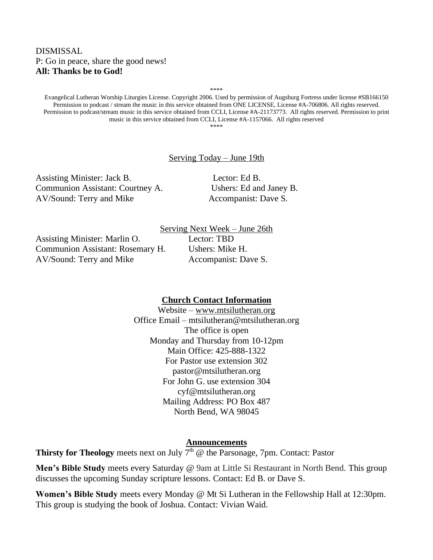## DISMISSAL P: Go in peace, share the good news! **All: Thanks be to God!**

Evangelical Lutheran Worship Liturgies License. Copyright 2006. Used by permission of Augsburg Fortress under license #SB166150 Permission to podcast / stream the music in this service obtained from ONE LICENSE, License #A-706806. All rights reserved. Permission to podcast/stream music in this service obtained from CCLI, License #A-21173773. All rights reserved. Permission to print music in this service obtained from CCLI, License #A-1157066. All rights reserved \*\*\*\*

\*\*\*\*

### Serving Today – June 19th

Assisting Minister: Jack B. Lector: Ed B. Communion Assistant: Courtney A. Ushers: Ed and Janey B. AV/Sound: Terry and Mike Accompanist: Dave S.

Assisting Minister: Marlin O. Lector: TBD Communion Assistant: Rosemary H. Ushers: Mike H. AV/Sound: Terry and Mike Accompanist: Dave S.

Serving Next Week – June 26th

## **Church Contact Information**

Website – [www.mtsilutheran.org](http://www.mtsilutheran.org/) Office Email – mtsilutheran@mtsilutheran.org The office is open Monday and Thursday from 10-12pm Main Office: 425-888-1322 For Pastor use extension 302 pastor@mtsilutheran.org For John G. use extension 304 cyf@mtsilutheran.org Mailing Address: PO Box 487 North Bend, WA 98045

### **Announcements**

**Thirsty for Theology** meets next on July  $7<sup>th</sup>$  @ the Parsonage, 7pm. Contact: Pastor

**Men's Bible Study** meets every Saturday @ 9am at Little Si Restaurant in North Bend. This group discusses the upcoming Sunday scripture lessons. Contact: Ed B. or Dave S.

**Women's Bible Study** meets every Monday @ Mt Si Lutheran in the Fellowship Hall at 12:30pm. This group is studying the book of Joshua. Contact: Vivian Waid.